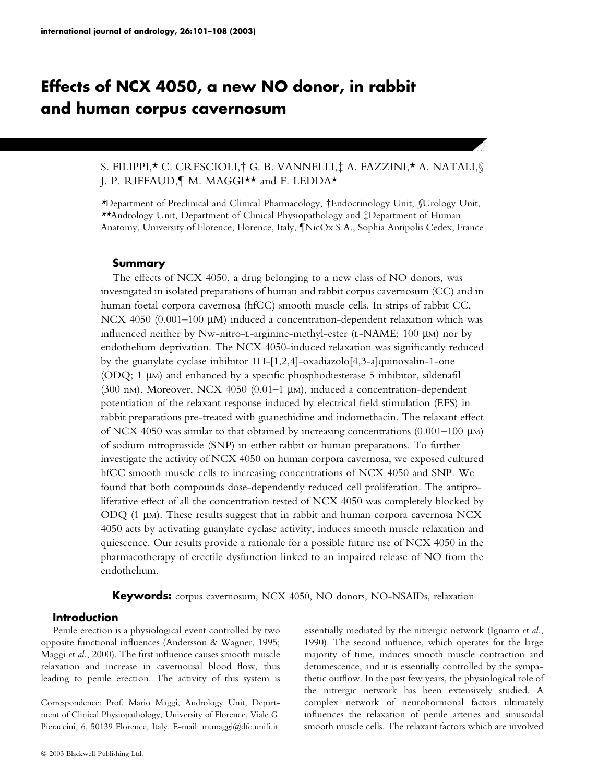# Effects of NCX 4050, a new NO donor, in rabbit and human corpus cavernosum

# S. FILIPPI,\* C. CRESCIOLI,† G. B. VANNELLI,‡ A. FAZZINI,\* A. NATALI,§ I. P. RIFFAUD, M. MAGGI\*\* and F. LEDDA\*

\*Department of Preclinical and Clinical Pharmacology, Endocrinology Unit, §Urology Unit, \*\*Andrology Unit, Department of Clinical Physiopathology and ‡Department of Human Anatomy, University of Florence, Florence, Italy, *INicOx S.A.*, Sophia Antipolis Cedex, France

## Summary

The effects of NCX 4050, a drug belonging to a new class of NO donors, was investigated in isolated preparations of human and rabbit corpus cavernosum (CC) and in human foetal corpora cavernosa (hfCC) smooth muscle cells. In strips of rabbit CC, NCX 4050 (0.001–100  $\mu$ M) induced a concentration-dependent relaxation which was influenced neither by Nw-nitro-L-arginine-methyl-ester (L-NAME; 100 µm) nor by endothelium deprivation. The NCX 4050-induced relaxation was significantly reduced by the guanylate cyclase inhibitor 1H-[1,2,4]-oxadiazolo[4,3-a]quinoxalin-1-one (ODQ;  $1 \mu$ M) and enhanced by a specific phosphodiesterase  $5$  inhibitor, sildenafil (300 nm). Moreover, NCX 4050 (0.01–1  $\mu$ m), induced a concentration-dependent potentiation of the relaxant response induced by electrical field stimulation (EFS) in rabbit preparations pre-treated with guanethidine and indomethacin. The relaxant effect of NCX 4050 was similar to that obtained by increasing concentrations  $(0.001-100 \mu)$ M) of sodium nitroprusside (SNP) in either rabbit or human preparations. To further investigate the activity of NCX 4050 on human corpora cavernosa, we exposed cultured hfCC smooth muscle cells to increasing concentrations of NCX 4050 and SNP. We found that both compounds dose-dependently reduced cell proliferation. The antiproliferative effect of all the concentration tested of NCX 4050 was completely blocked by ODQ  $(1 \mu)$ . These results suggest that in rabbit and human corpora cavernosa NCX 4050 acts by activating guanylate cyclase activity, induces smooth muscle relaxation and quiescence. Our results provide a rationale for a possible future use of NCX 4050 in the pharmacotherapy of erectile dysfunction linked to an impaired release of NO from the endothelium.

Keywords: corpus cavernosum, NCX 4050, NO donors, NO-NSAIDs, relaxation

## Introduction

Penile erection is a physiological event controlled by two opposite functional influences (Andersson & Wagner, 1995; Maggi et al., 2000). The first influence causes smooth muscle relaxation and increase in cavernousal blood flow, thus leading to penile erection. The activity of this system is

Correspondence: Prof. Mario Maggi, Andrology Unit, Department of Clinical Physiopathology, University of Florence, Viale G. Pieraccini, 6, 50139 Florence, Italy. E-mail: m.maggi@dfc.unifi.it

essentially mediated by the nitrergic network (Ignarro et al., 1990). The second influence, which operates for the large majority of time, induces smooth muscle contraction and detumescence, and it is essentially controlled by the sympathetic outflow. In the past few years, the physiological role of the nitrergic network has been extensively studied. A complex network of neurohormonal factors ultimately influences the relaxation of penile arteries and sinusoidal smooth muscle cells. The relaxant factors which are involved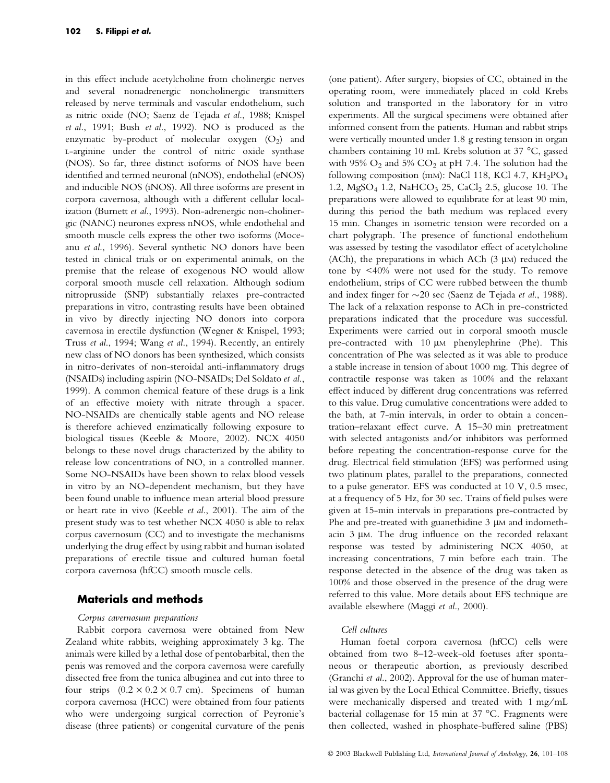in this effect include acetylcholine from cholinergic nerves and several nonadrenergic noncholinergic transmitters released by nerve terminals and vascular endothelium, such as nitric oxide (NO; Saenz de Tejada et al., 1988; Knispel et al., 1991; Bush et al., 1992). NO is produced as the enzymatic by-product of molecular oxygen  $(O_2)$  and L-arginine under the control of nitric oxide synthase (NOS). So far, three distinct isoforms of NOS have been identified and termed neuronal (nNOS), endothelial (eNOS) and inducible NOS (iNOS). All three isoforms are present in corpora cavernosa, although with a different cellular localization (Burnett et al., 1993). Non-adrenergic non-cholinergic (NANC) neurones express nNOS, while endothelial and smooth muscle cells express the other two isoforms (Moceanu et al., 1996). Several synthetic NO donors have been tested in clinical trials or on experimental animals, on the premise that the release of exogenous NO would allow corporal smooth muscle cell relaxation. Although sodium nitroprusside (SNP) substantially relaxes pre-contracted preparations in vitro, contrasting results have been obtained in vivo by directly injecting NO donors into corpora cavernosa in erectile dysfunction (Wegner & Knispel, 1993; Truss et al., 1994; Wang et al., 1994). Recently, an entirely new class of NO donors has been synthesized, which consists in nitro-derivates of non-steroidal anti-inflammatory drugs (NSAIDs) including aspirin (NO-NSAIDs; Del Soldato et al., 1999). A common chemical feature of these drugs is a link of an effective moiety with nitrate through a spacer. NO-NSAIDs are chemically stable agents and NO release is therefore achieved enzimatically following exposure to biological tissues (Keeble & Moore, 2002). NCX 4050 belongs to these novel drugs characterized by the ability to release low concentrations of NO, in a controlled manner. Some NO-NSAIDs have been shown to relax blood vessels in vitro by an NO-dependent mechanism, but they have been found unable to influence mean arterial blood pressure or heart rate in vivo (Keeble et al., 2001). The aim of the present study was to test whether NCX 4050 is able to relax corpus cavernosum (CC) and to investigate the mechanisms underlying the drug effect by using rabbit and human isolated preparations of erectile tissue and cultured human foetal corpora cavernosa (hfCC) smooth muscle cells.

# Materials and methods

#### Corpus cavernosum preparations

Rabbit corpora cavernosa were obtained from New Zealand white rabbits, weighing approximately 3 kg. The animals were killed by a lethal dose of pentobarbital, then the penis was removed and the corpora cavernosa were carefully dissected free from the tunica albuginea and cut into three to four strips  $(0.2 \times 0.2 \times 0.7 \text{ cm})$ . Specimens of human corpora cavernosa (HCC) were obtained from four patients who were undergoing surgical correction of Peyronie's disease (three patients) or congenital curvature of the penis

(one patient). After surgery, biopsies of CC, obtained in the operating room, were immediately placed in cold Krebs solution and transported in the laboratory for in vitro experiments. All the surgical specimens were obtained after informed consent from the patients. Human and rabbit strips were vertically mounted under 1.8 g resting tension in organ chambers containing 10 mL Krebs solution at 37  $^{\circ}$ C, gassed with 95%  $O_2$  and 5%  $CO_2$  at pH 7.4. The solution had the following composition (mm): NaCl 118, KCl 4.7, KH<sub>2</sub>PO<sub>4</sub> 1.2, MgSO<sub>4</sub> 1.2, NaHCO<sub>3</sub> 25, CaCl<sub>2</sub> 2.5, glucose 10. The preparations were allowed to equilibrate for at least 90 min, during this period the bath medium was replaced every 15 min. Changes in isometric tension were recorded on a chart polygraph. The presence of functional endothelium was assessed by testing the vasodilator effect of acetylcholine (ACh), the preparations in which ACh  $(3 \mu)$  reduced the tone by <40% were not used for the study. To remove endothelium, strips of CC were rubbed between the thumb and index finger for  $\sim$ 20 sec (Saenz de Tejada et al., 1988). The lack of a relaxation response to ACh in pre-constricted preparations indicated that the procedure was successful. Experiments were carried out in corporal smooth muscle pre-contracted with 10  $\mu$ M phenylephrine (Phe). This concentration of Phe was selected as it was able to produce a stable increase in tension of about 1000 mg. This degree of contractile response was taken as 100% and the relaxant effect induced by different drug concentrations was referred to this value. Drug cumulative concentrations were added to the bath, at 7-min intervals, in order to obtain a concentration–relaxant effect curve. A 15–30 min pretreatment with selected antagonists and/or inhibitors was performed before repeating the concentration-response curve for the drug. Electrical field stimulation (EFS) was performed using two platinum plates, parallel to the preparations, connected to a pulse generator. EFS was conducted at 10 V, 0.5 msec, at a frequency of 5 Hz, for 30 sec. Trains of field pulses were given at 15-min intervals in preparations pre-contracted by Phe and pre-treated with guanethidine  $3 \mu$ M and indomethacin 3 µm. The drug influence on the recorded relaxant response was tested by administering NCX 4050, at increasing concentrations, 7 min before each train. The response detected in the absence of the drug was taken as 100% and those observed in the presence of the drug were referred to this value. More details about EFS technique are available elsewhere (Maggi et al., 2000).

### Cell cultures

Human foetal corpora cavernosa (hfCC) cells were obtained from two 8–12-week-old foetuses after spontaneous or therapeutic abortion, as previously described (Granchi et al., 2002). Approval for the use of human material was given by the Local Ethical Committee. Briefly, tissues were mechanically dispersed and treated with 1 mg/mL bacterial collagenase for 15 min at 37  $^{\circ}$ C. Fragments were then collected, washed in phosphate-buffered saline (PBS)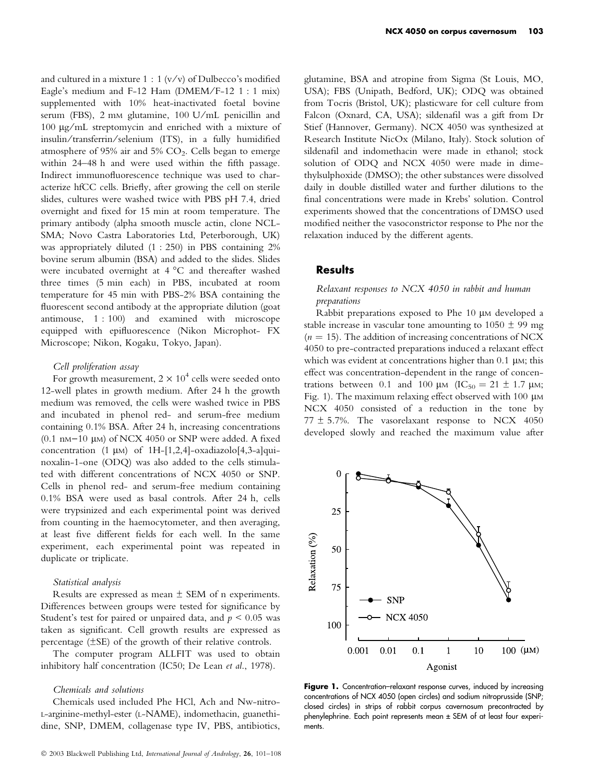and cultured in a mixture  $1:1$  (v/v) of Dulbecco's modified Eagle's medium and F-12 Ham (DMEM/F-12 1 : 1 mix) supplemented with 10% heat-inactivated foetal bovine serum (FBS), 2 mm glutamine, 100 U/mL penicillin and  $100 \mu g/mL$  streptomycin and enriched with a mixture of insulin ⁄ transferrin ⁄ selenium (ITS), in a fully humidified atmosphere of 95% air and 5%  $CO<sub>2</sub>$ . Cells began to emerge within 24–48 h and were used within the fifth passage. Indirect immunofluorescence technique was used to characterize hfCC cells. Briefly, after growing the cell on sterile slides, cultures were washed twice with PBS pH 7.4, dried overnight and fixed for 15 min at room temperature. The primary antibody (alpha smooth muscle actin, clone NCL-SMA; Novo Castra Laboratories Ltd, Peterborough, UK) was appropriately diluted (1 : 250) in PBS containing 2% bovine serum albumin (BSA) and added to the slides. Slides were incubated overnight at  $4^{\circ}$ C and thereafter washed three times (5 min each) in PBS, incubated at room temperature for 45 min with PBS-2% BSA containing the fluorescent second antibody at the appropriate dilution (goat antimouse, 1 : 100) and examined with microscope equipped with epifluorescence (Nikon Microphot- FX Microscope; Nikon, Kogaku, Tokyo, Japan).

#### Cell proliferation assay

For growth measurement,  $2 \times 10^4$  cells were seeded onto 12-well plates in growth medium. After 24 h the growth medium was removed, the cells were washed twice in PBS and incubated in phenol red- and serum-free medium containing 0.1% BSA. After 24 h, increasing concentrations (0.1 nm $-10 \mu$ M) of NCX 4050 or SNP were added. A fixed concentration  $(1 \mu M)$  of  $1H-[1,2,4]$ -oxadiazolo $[4,3$ -a]quinoxalin-1-one (ODQ) was also added to the cells stimulated with different concentrations of NCX 4050 or SNP. Cells in phenol red- and serum-free medium containing 0.1% BSA were used as basal controls. After 24 h, cells were trypsinized and each experimental point was derived from counting in the haemocytometer, and then averaging, at least five different fields for each well. In the same experiment, each experimental point was repeated in duplicate or triplicate.

## Statistical analysis

Results are expressed as mean  $\pm$  SEM of n experiments. Differences between groups were tested for significance by Student's test for paired or unpaired data, and  $p \leq 0.05$  was taken as significant. Cell growth results are expressed as percentage  $(\pm SE)$  of the growth of their relative controls.

The computer program ALLFIT was used to obtain inhibitory half concentration (IC50; De Lean et al., 1978).

### Chemicals and solutions

Chemicals used included Phe HCl, Ach and Nw-nitro-L-arginine-methyl-ester (L-NAME), indomethacin, guanethidine, SNP, DMEM, collagenase type IV, PBS, antibiotics, glutamine, BSA and atropine from Sigma (St Louis, MO, USA); FBS (Unipath, Bedford, UK); ODQ was obtained from Tocris (Bristol, UK); plasticware for cell culture from Falcon (Oxnard, CA, USA); sildenafil was a gift from Dr Stief (Hannover, Germany). NCX 4050 was synthesized at Research Institute NicOx (Milano, Italy). Stock solution of sildenafil and indomethacin were made in ethanol; stock solution of ODQ and NCX 4050 were made in dimethylsulphoxide (DMSO); the other substances were dissolved daily in double distilled water and further dilutions to the final concentrations were made in Krebs' solution. Control experiments showed that the concentrations of DMSO used modified neither the vasoconstrictor response to Phe nor the relaxation induced by the different agents.

# **Results**

### Relaxant responses to NCX 4050 in rabbit and human preparations

Rabbit preparations exposed to Phe  $10 \mu$ M developed a stable increase in vascular tone amounting to  $1050 \pm 99$  mg  $(n = 15)$ . The addition of increasing concentrations of NCX 4050 to pre-contracted preparations induced a relaxant effect which was evident at concentrations higher than  $0.1 \mu$ M; this effect was concentration-dependent in the range of concentrations between 0.1 and 100  $\mu$ M (IC<sub>50</sub> = 21  $\pm$  1.7  $\mu$ M; Fig. 1). The maximum relaxing effect observed with  $100 \mu$ M NCX 4050 consisted of a reduction in the tone by  $77 \pm 5.7$ %. The vasorelaxant response to NCX 4050 developed slowly and reached the maximum value after



Figure 1. Concentration–relaxant response curves, induced by increasing concentrations of NCX 4050 (open circles) and sodium nitroprusside (SNP; closed circles) in strips of rabbit corpus cavernosum precontracted by phenylephrine. Each point represents mean ± SEM of at least four experiments.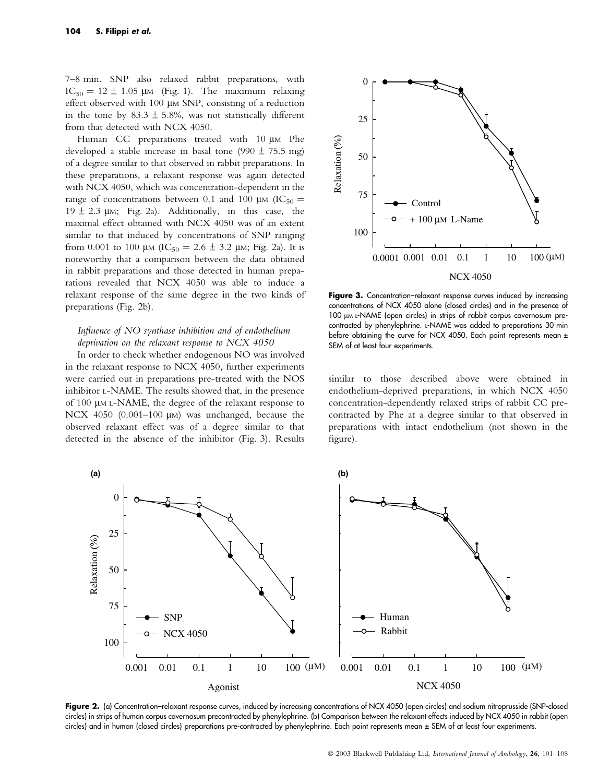7–8 min. SNP also relaxed rabbit preparations, with  $IC_{50} = 12 \pm 1.05$  µm (Fig. 1). The maximum relaxing effect observed with 100 µm SNP, consisting of a reduction in the tone by 83.3  $\pm$  5.8%, was not statistically different from that detected with NCX 4050.

Human CC preparations treated with 10 µm Phe developed a stable increase in basal tone (990  $\pm$  75.5 mg) of a degree similar to that observed in rabbit preparations. In these preparations, a relaxant response was again detected with NCX 4050, which was concentration-dependent in the range of concentrations between 0.1 and 100  $\mu$ M (IC<sub>50</sub> =  $19 \pm 2.3$  um; Fig. 2a). Additionally, in this case, the maximal effect obtained with NCX 4050 was of an extent similar to that induced by concentrations of SNP ranging from 0.001 to 100  $\mu$ m (IC<sub>50</sub> = 2.6  $\pm$  3.2  $\mu$ m; Fig. 2a). It is noteworthy that a comparison between the data obtained in rabbit preparations and those detected in human preparations revealed that NCX 4050 was able to induce a relaxant response of the same degree in the two kinds of preparations (Fig. 2b).

# Influence of NO synthase inhibition and of endothelium deprivation on the relaxant response to NCX 4050

In order to check whether endogenous NO was involved in the relaxant response to NCX 4050, further experiments were carried out in preparations pre-treated with the NOS inhibitor L-NAME. The results showed that, in the presence of 100  $\mu$ M L-NAME, the degree of the relaxant response to NCX 4050 (0.001-100  $\mu$ M) was unchanged, because the observed relaxant effect was of a degree similar to that detected in the absence of the inhibitor (Fig. 3). Results



Figure 3. Concentration–relaxant response curves induced by increasing concentrations of NCX 4050 alone (closed circles) and in the presence of 100 µM L-NAME (open circles) in strips of rabbit corpus cavernosum precontracted by phenylephrine. L-NAME was added to preparations 30 min before obtaining the curve for NCX 4050. Each point represents mean ± SEM of at least four experiments.

similar to those described above were obtained in endothelium-deprived preparations, in which NCX 4050 concentration-dependently relaxed strips of rabbit CC precontracted by Phe at a degree similar to that observed in preparations with intact endothelium (not shown in the figure).



Figure 2. (a) Concentration–relaxant response curves, induced by increasing concentrations of NCX 4050 (open circles) and sodium nitroprusside (SNP-closed circles) in strips of human corpus cavernosum precontracted by phenylephrine. (b) Comparison between the relaxant effects induced by NCX 4050 in rabbit (open circles) and in human (closed circles) preparations pre-contracted by phenylephrine. Each point represents mean ± SEM of at least four experiments.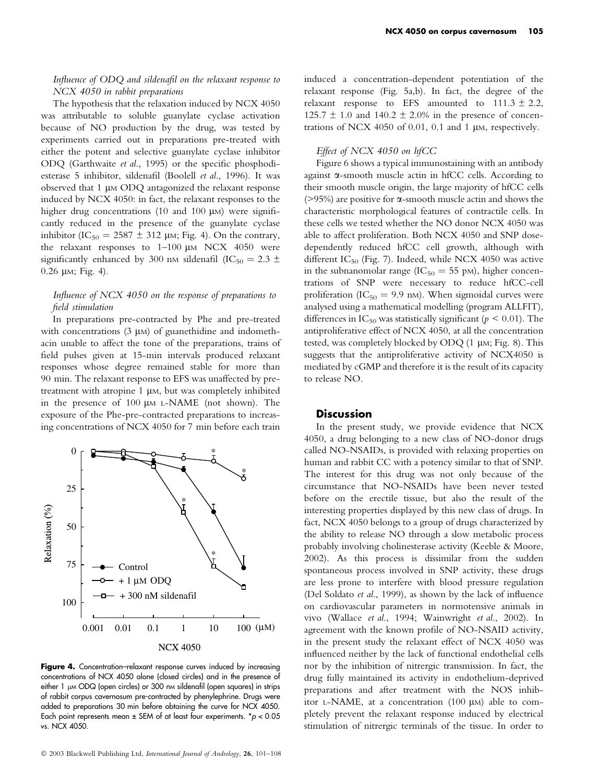# Influence of ODQ and sildenafil on the relaxant response to NCX 4050 in rabbit preparations

The hypothesis that the relaxation induced by NCX 4050 was attributable to soluble guanylate cyclase activation because of NO production by the drug, was tested by experiments carried out in preparations pre-treated with either the potent and selective guanylate cyclase inhibitor ODQ (Garthwaite et al., 1995) or the specific phosphodiesterase 5 inhibitor, sildenafil (Boolell et al., 1996). It was observed that 1 µm ODQ antagonized the relaxant response induced by NCX 4050: in fact, the relaxant responses to the higher drug concentrations (10 and 100  $\mu$ M) were significantly reduced in the presence of the guanylate cyclase inhibitor (IC<sub>50</sub> = 2587  $\pm$  312 µm; Fig. 4). On the contrary, the relaxant responses to  $1-100 \mu M NCX$  4050 were significantly enhanced by 300 nm sildenafil (IC<sub>50</sub> = 2.3  $\pm$  $0.26 \mu M$ ; Fig. 4).

## Influence of NCX 4050 on the response of preparations to field stimulation

In preparations pre-contracted by Phe and pre-treated with concentrations  $(3 \mu)$  of guanethidine and indomethacin unable to affect the tone of the preparations, trains of field pulses given at 15-min intervals produced relaxant responses whose degree remained stable for more than 90 min. The relaxant response to EFS was unaffected by pretreatment with atropine  $1 \mu$ M, but was completely inhibited in the presence of  $100 \mu M$  L-NAME (not shown). The exposure of the Phe-pre-contracted preparations to increasing concentrations of NCX 4050 for 7 min before each train



Figure 4. Concentration-relaxant response curves induced by increasing concentrations of NCX 4050 alone (closed circles) and in the presence of either 1 µm ODQ (open circles) or 300 nm sildenafil (open squares) in strips of rabbit corpus cavernosum pre-contracted by phenylephrine. Drugs were added to preparations 30 min before obtaining the curve for NCX 4050. Each point represents mean  $\pm$  SEM of at least four experiments.  $*p < 0.05$ vs. NCX 4050.

induced a concentration-dependent potentiation of the relaxant response (Fig. 5a,b). In fact, the degree of the relaxant response to EFS amounted to  $111.3 \pm 2.2$ , 125.7  $\pm$  1.0 and 140.2  $\pm$  2.0% in the presence of concentrations of NCX 4050 of 0.01, 0.1 and 1  $\mu$ M, respectively.

#### Effect of NCX 4050 on hfCC

Figure 6 shows a typical immunostaining with an antibody against  $\alpha$ -smooth muscle actin in hfCC cells. According to their smooth muscle origin, the large majority of hfCC cells ( $>95\%$ ) are positive for  $\alpha$ -smooth muscle actin and shows the characteristic morphological features of contractile cells. In these cells we tested whether the NO donor NCX 4050 was able to affect proliferation. Both NCX 4050 and SNP dosedependently reduced hfCC cell growth, although with different I $C_{50}$  (Fig. 7). Indeed, while NCX 4050 was active in the subnanomolar range ( $IC_{50} = 55$  pM), higher concentrations of SNP were necessary to reduce hfCC-cell proliferation (IC<sub>50</sub> = 9.9 nm). When sigmoidal curves were analysed using a mathematical modelling (program ALLFIT), differences in  $IC_{50}$  was statistically significant ( $p \le 0.01$ ). The antiproliferative effect of NCX 4050, at all the concentration tested, was completely blocked by ODQ (1 µM; Fig. 8). This suggests that the antiproliferative activity of NCX4050 is mediated by cGMP and therefore it is the result of its capacity to release NO.

## **Discussion**

In the present study, we provide evidence that NCX 4050, a drug belonging to a new class of NO-donor drugs called NO-NSAIDs, is provided with relaxing properties on human and rabbit CC with a potency similar to that of SNP. The interest for this drug was not only because of the circumstance that NO-NSAIDs have been never tested before on the erectile tissue, but also the result of the interesting properties displayed by this new class of drugs. In fact, NCX 4050 belongs to a group of drugs characterized by the ability to release NO through a slow metabolic process probably involving cholinesterase activity (Keeble & Moore, 2002). As this process is dissimilar from the sudden spontaneous process involved in SNP activity, these drugs are less prone to interfere with blood pressure regulation (Del Soldato et al., 1999), as shown by the lack of influence on cardiovascular parameters in normotensive animals in vivo (Wallace et al., 1994; Wainwright et al., 2002). In agreement with the known profile of NO-NSAID activity, in the present study the relaxant effect of NCX 4050 was influenced neither by the lack of functional endothelial cells nor by the inhibition of nitrergic transmission. In fact, the drug fully maintained its activity in endothelium-deprived preparations and after treatment with the NOS inhibitor L-NAME, at a concentration  $(100 \mu)$  able to completely prevent the relaxant response induced by electrical stimulation of nitrergic terminals of the tissue. In order to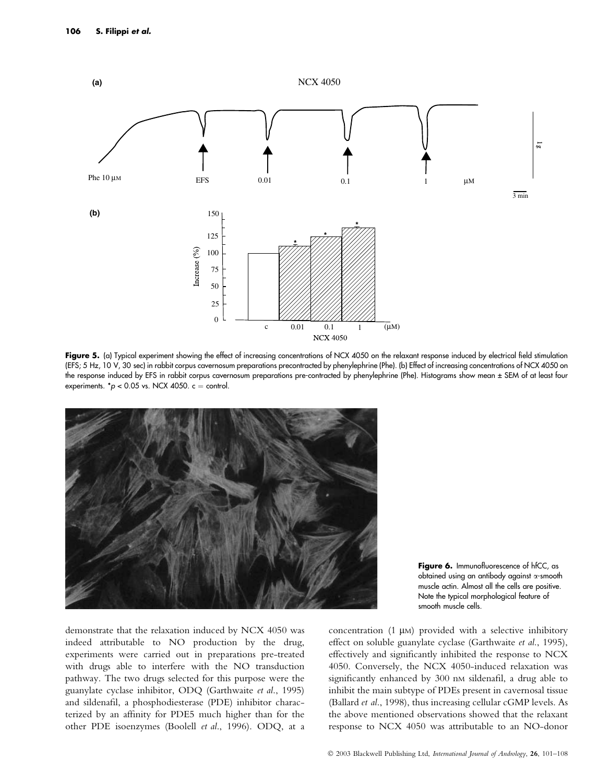

Figure 5. (a) Typical experiment showing the effect of increasing concentrations of NCX 4050 on the relaxant response induced by electrical field stimulation (EFS; 5 Hz, 10 V, 30 sec) in rabbit corpus cavernosum preparations precontracted by phenylephrine (Phe). (b) Effect of increasing concentrations of NCX 4050 on the response induced by EFS in rabbit corpus cavernosum preparations pre-contracted by phenylephrine (Phe). Histograms show mean ± SEM of at least four experiments.  $p < 0.05$  vs. NCX 4050.  $c =$  control.



Figure 6. Immunofluorescence of hfCC, as obtained using an antibody against a-smooth muscle actin. Almost all the cells are positive. Note the typical morphological feature of smooth muscle cells.

demonstrate that the relaxation induced by NCX 4050 was indeed attributable to NO production by the drug, experiments were carried out in preparations pre-treated with drugs able to interfere with the NO transduction pathway. The two drugs selected for this purpose were the guanylate cyclase inhibitor, ODQ (Garthwaite et al., 1995) and sildenafil, a phosphodiesterase (PDE) inhibitor characterized by an affinity for PDE5 much higher than for the other PDE isoenzymes (Boolell et al., 1996). ODQ, at a concentration  $(1 \mu)$  provided with a selective inhibitory effect on soluble guanylate cyclase (Garthwaite et al., 1995), effectively and significantly inhibited the response to NCX 4050. Conversely, the NCX 4050-induced relaxation was significantly enhanced by 300 nm sildenafil, a drug able to inhibit the main subtype of PDEs present in cavernosal tissue (Ballard et al., 1998), thus increasing cellular cGMP levels. As the above mentioned observations showed that the relaxant response to NCX 4050 was attributable to an NO-donor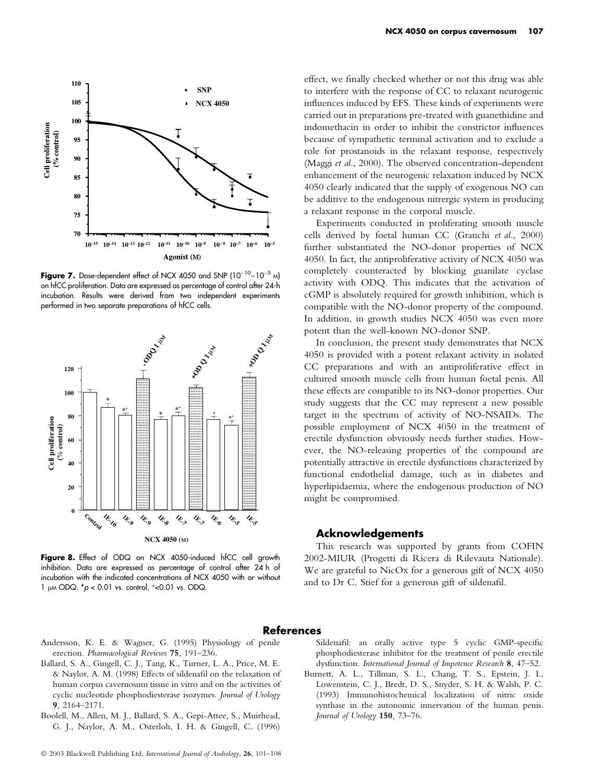

Figure 7. Dose-dependent effect of NCX 4050 and SNP ( $10^{-10}$ - $10^{-5}$  M) on hfCC proliferation. Data are expressed as percentage of control after 24-h incubation. Results were derived from two independent experiments performed in two separate preparations of hfCC cells.



Figure 8. Effect of ODQ on NCX 4050-induced hfCC cell growth inhibition. Data are expressed as percentage of control after 24 h of incubation with the indicated concentrations of NCX 4050 with or without 1 µm ODQ.  ${}^*p$  < 0.01 vs. control,  ${}^{\circ}$  < 0.01 vs. ODQ.

effect, we finally checked whether or not this drug was able to interfere with the response of CC to relaxant neurogenic influences induced by EFS. These kinds of experiments were carried out in preparations pre-treated with guanethidine and indomethacin in order to inhibit the constrictor influences because of sympathetic terminal activation and to exclude a role for prostanoids in the relaxant response, respectively (Maggi et al., 2000). The observed concentration-dependent enhancement of the neurogenic relaxation induced by NCX 4050 clearly indicated that the supply of exogenous NO can be additive to the endogenous nitrergic system in producing a relaxant response in the corporal muscle.

Experiments conducted in proliferating smooth muscle cells derived by foetal human CC (Granchi et al., 2000) further substantiated the NO-donor properties of NCX 4050. In fact, the antiproliferative activity of NCX 4050 was completely counteracted by blocking guanilate cyclase activity with ODQ. This indicates that the activation of cGMP is absolutely required for growth inhibition, which is compatible with the NO-donor property of the compound. In addition, in growth studies NCX 4050 was even more potent than the well-known NO-donor SNP.

In conclusion, the present study demonstrates that NCX 4050 is provided with a potent relaxant activity in isolated CC preparations and with an antiproliferative effect in cultured smooth muscle cells from human foetal penis. All these effects are compatible to its NO-donor properties. Our study suggests that the CC may represent a new possible target in the spectrum of activity of NO-NSAIDs. The possible employment of NCX 4050 in the treatment of erectile dysfunction obviously needs further studies. However, the NO-releasing properties of the compound are potentially attractive in erectile dysfunctions characterized by functional endothelial damage, such as in diabetes and hyperlipidaemia, where the endogenous production of NO might be compromised.

# Acknowledgements

This research was supported by grants from COFIN 2002-MIUR (Progetti di Ricera di Rilevauta Nationale). We are grateful to NicOx for a generous gift of NCX 4050 and to Dr C. Stief for a generous gift of sildenafil.

### References

- Andersson, K. E. & Wagner, G. (1995) Physiology of penile erection. Pharmacological Reviews 75, 191–236.
- Ballard, S. A., Gingell, C. J., Tang, K., Turner, L. A., Price, M. E. & Naylor, A. M. (1998) Effects of sildenafil on the relaxation of human corpus cavernosum tissue in vitro and on the activities of cyclic nucleotide phosphodiesterase isozymes. Journal of Urology 9, 2164–2171.
- Boolell, M., Allen, M. J., Ballard, S. A., Gepi-Attee, S., Muirhead, G. J., Naylor, A. M., Osterloh, I. H. & Gingell, C. (1996)

Sildenafil: an orally active type 5 cyclic GMP-specific phosphodiesterase inhibitor for the treatment of penile erectile dysfunction. International Journal of Impotence Research 8, 47–52.

Burnett, A. L., Tillman, S. L., Chang, T. S., Epstein, J. I., Lowenstein, C. J., Bredt, D. S., Snyder, S. H. & Walsh, P. C. (1993) Immunohistochemical localization of nitric oxide synthase in the autonomic innervation of the human penis. Journal of Urology 150, 73–76.